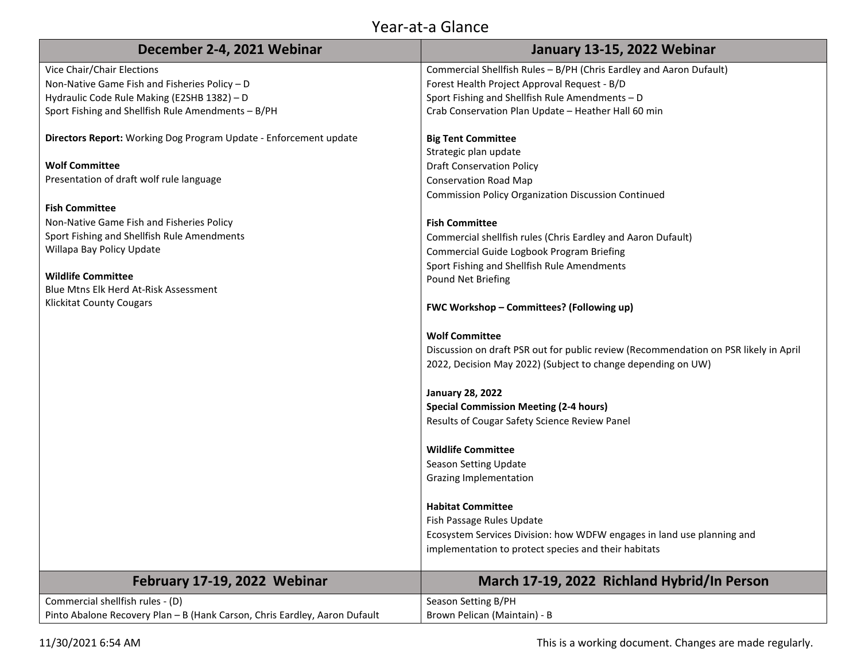## Year-at-a Glance

| December 2-4, 2021 Webinar                                                                                                                                                                                                                                                                                                                                                                        | January 13-15, 2022 Webinar                                                                                                                                                                                                                                                                                                                                                                                                                                                                                                                                                                                                                                                                                                                                                                                                                                                                                                                                                                                                           |
|---------------------------------------------------------------------------------------------------------------------------------------------------------------------------------------------------------------------------------------------------------------------------------------------------------------------------------------------------------------------------------------------------|---------------------------------------------------------------------------------------------------------------------------------------------------------------------------------------------------------------------------------------------------------------------------------------------------------------------------------------------------------------------------------------------------------------------------------------------------------------------------------------------------------------------------------------------------------------------------------------------------------------------------------------------------------------------------------------------------------------------------------------------------------------------------------------------------------------------------------------------------------------------------------------------------------------------------------------------------------------------------------------------------------------------------------------|
| Vice Chair/Chair Elections                                                                                                                                                                                                                                                                                                                                                                        | Commercial Shellfish Rules - B/PH (Chris Eardley and Aaron Dufault)                                                                                                                                                                                                                                                                                                                                                                                                                                                                                                                                                                                                                                                                                                                                                                                                                                                                                                                                                                   |
| Non-Native Game Fish and Fisheries Policy - D                                                                                                                                                                                                                                                                                                                                                     | Forest Health Project Approval Request - B/D                                                                                                                                                                                                                                                                                                                                                                                                                                                                                                                                                                                                                                                                                                                                                                                                                                                                                                                                                                                          |
| Hydraulic Code Rule Making (E2SHB 1382) - D                                                                                                                                                                                                                                                                                                                                                       | Sport Fishing and Shellfish Rule Amendments - D                                                                                                                                                                                                                                                                                                                                                                                                                                                                                                                                                                                                                                                                                                                                                                                                                                                                                                                                                                                       |
| Sport Fishing and Shellfish Rule Amendments - B/PH                                                                                                                                                                                                                                                                                                                                                | Crab Conservation Plan Update - Heather Hall 60 min                                                                                                                                                                                                                                                                                                                                                                                                                                                                                                                                                                                                                                                                                                                                                                                                                                                                                                                                                                                   |
| Directors Report: Working Dog Program Update - Enforcement update<br><b>Wolf Committee</b><br>Presentation of draft wolf rule language<br><b>Fish Committee</b><br>Non-Native Game Fish and Fisheries Policy<br>Sport Fishing and Shellfish Rule Amendments<br>Willapa Bay Policy Update<br><b>Wildlife Committee</b><br>Blue Mtns Elk Herd At-Risk Assessment<br><b>Klickitat County Cougars</b> | <b>Big Tent Committee</b><br>Strategic plan update<br><b>Draft Conservation Policy</b><br><b>Conservation Road Map</b><br><b>Commission Policy Organization Discussion Continued</b><br><b>Fish Committee</b><br>Commercial shellfish rules (Chris Eardley and Aaron Dufault)<br>Commercial Guide Logbook Program Briefing<br>Sport Fishing and Shellfish Rule Amendments<br>Pound Net Briefing<br>FWC Workshop - Committees? (Following up)<br><b>Wolf Committee</b><br>Discussion on draft PSR out for public review (Recommendation on PSR likely in April<br>2022, Decision May 2022) (Subject to change depending on UW)<br><b>January 28, 2022</b><br><b>Special Commission Meeting (2-4 hours)</b><br>Results of Cougar Safety Science Review Panel<br><b>Wildlife Committee</b><br>Season Setting Update<br>Grazing Implementation<br><b>Habitat Committee</b><br>Fish Passage Rules Update<br>Ecosystem Services Division: how WDFW engages in land use planning and<br>implementation to protect species and their habitats |
| February 17-19, 2022 Webinar                                                                                                                                                                                                                                                                                                                                                                      | March 17-19, 2022 Richland Hybrid/In Person                                                                                                                                                                                                                                                                                                                                                                                                                                                                                                                                                                                                                                                                                                                                                                                                                                                                                                                                                                                           |
| Commercial shellfish rules - (D)                                                                                                                                                                                                                                                                                                                                                                  | Season Setting B/PH                                                                                                                                                                                                                                                                                                                                                                                                                                                                                                                                                                                                                                                                                                                                                                                                                                                                                                                                                                                                                   |
| Pinto Abalone Recovery Plan - B (Hank Carson, Chris Eardley, Aaron Dufault                                                                                                                                                                                                                                                                                                                        | Brown Pelican (Maintain) - B                                                                                                                                                                                                                                                                                                                                                                                                                                                                                                                                                                                                                                                                                                                                                                                                                                                                                                                                                                                                          |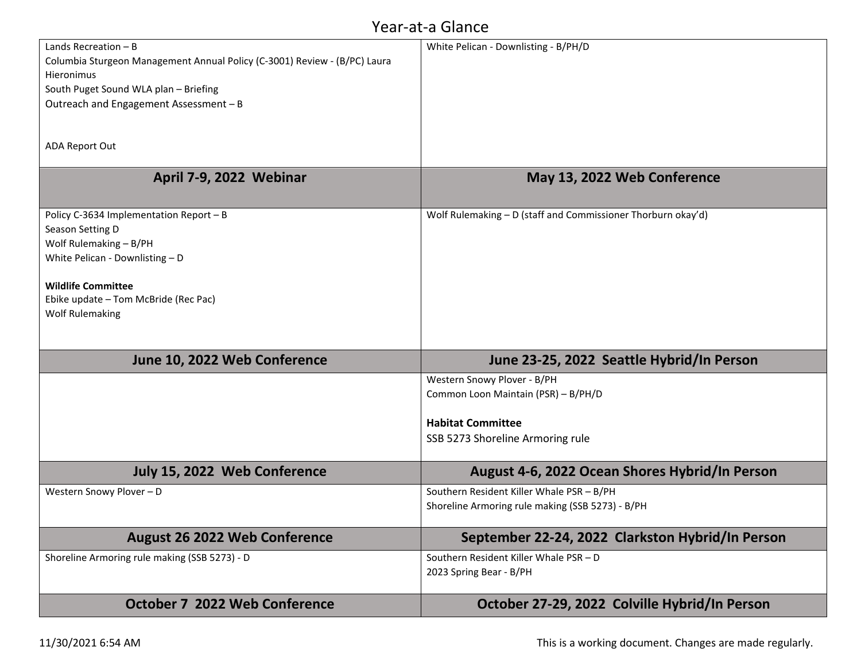## Year-at-a Glance

| Lands Recreation $- B$                                                    | White Pelican - Downlisting - B/PH/D                         |
|---------------------------------------------------------------------------|--------------------------------------------------------------|
| Columbia Sturgeon Management Annual Policy (C-3001) Review - (B/PC) Laura |                                                              |
| Hieronimus                                                                |                                                              |
| South Puget Sound WLA plan - Briefing                                     |                                                              |
| Outreach and Engagement Assessment - B                                    |                                                              |
|                                                                           |                                                              |
|                                                                           |                                                              |
| <b>ADA Report Out</b>                                                     |                                                              |
|                                                                           |                                                              |
| April 7-9, 2022 Webinar                                                   | May 13, 2022 Web Conference                                  |
|                                                                           |                                                              |
|                                                                           | Wolf Rulemaking - D (staff and Commissioner Thorburn okay'd) |
| Policy C-3634 Implementation Report - B                                   |                                                              |
| Season Setting D                                                          |                                                              |
| Wolf Rulemaking - B/PH                                                    |                                                              |
| White Pelican - Downlisting - D                                           |                                                              |
| <b>Wildlife Committee</b>                                                 |                                                              |
| Ebike update - Tom McBride (Rec Pac)                                      |                                                              |
| <b>Wolf Rulemaking</b>                                                    |                                                              |
|                                                                           |                                                              |
|                                                                           |                                                              |
| June 10, 2022 Web Conference                                              | June 23-25, 2022 Seattle Hybrid/In Person                    |
|                                                                           |                                                              |
|                                                                           | Western Snowy Plover - B/PH                                  |
|                                                                           | Common Loon Maintain (PSR) - B/PH/D                          |
|                                                                           | <b>Habitat Committee</b>                                     |
|                                                                           |                                                              |
|                                                                           | SSB 5273 Shoreline Armoring rule                             |
|                                                                           |                                                              |
| July 15, 2022 Web Conference                                              | August 4-6, 2022 Ocean Shores Hybrid/In Person               |
| Western Snowy Plover - D                                                  | Southern Resident Killer Whale PSR - B/PH                    |
|                                                                           | Shoreline Armoring rule making (SSB 5273) - B/PH             |
|                                                                           |                                                              |
| <b>August 26 2022 Web Conference</b>                                      | September 22-24, 2022 Clarkston Hybrid/In Person             |
| Shoreline Armoring rule making (SSB 5273) - D                             | Southern Resident Killer Whale PSR - D                       |
|                                                                           |                                                              |
|                                                                           | 2023 Spring Bear - B/PH                                      |
|                                                                           |                                                              |
| <b>October 7 2022 Web Conference</b>                                      | October 27-29, 2022 Colville Hybrid/In Person                |